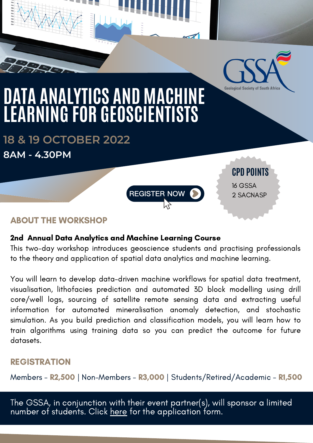

**CPD POINTS**

16 GSSA 2 SACNASP

# **DATA ANALYTICS AND MACHINE LEARNING FOR GEOSCIENTISTS**

**18 & 19 OCTOBER 2022 8AM - 4.30PM**

## ABOUT THE WORKSHOP

#### 2nd Annual Data Analytics and Machine Learning Course

This two-day workshop introduces geoscience students and practising professionals to the theory and application of spatial data analytics and machine learning.

**REGISTER NOW** 

You will learn to develop data-driven machine workflows for spatial data treatment, visualisation, lithofacies prediction and automated 3D block modelling using drill core/well logs, sourcing of satellite remote sensing data and extracting useful information for automated mineralisation anomaly detection, and stochastic simulation. As you build prediction and classification models, you will learn how to train algorithms using training data so you can predict the outcome for future datasets.

#### REGISTRATION

Members - R2,500 | Non-Members - R3,000 | Students/Retired/Academic - R1,500

The GSSA, in conjunction with their event partner(s), will sponsor a limited number of students. Click <u>[here](https://www.gssa.org.za/uploads/newsletters/Events/Student_Sponsor.pdf)</u> for the application form.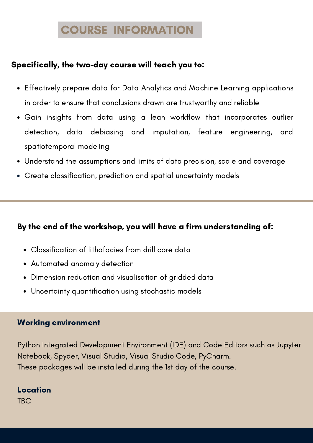## COURSE INFORMATION

#### Specifically, the two-day course will teach you to:

- Effectively prepare data for Data Analytics and Machine Learning applications in order to ensure that conclusions drawn are trustworthy and reliable
- Gain insights from data using a lean workflow that incorporates outlier detection, data debiasing and imputation, feature engineering, and spatiotemporal modeling
- Understand the assumptions and limits of data precision, scale and coverage
- Create classification, prediction and spatial uncertainty models

#### By the end of the workshop, you will have a firm understanding of:

- Classification of lithofacies from drill core data
- Automated anomaly detection
- Dimension reduction and visualisation of gridded data
- Uncertainty quantification using stochastic models

#### Working environment

Python Integrated Development Environment (IDE) and Code Editors such as Jupyter Notebook, Spyder, Visual Studio, Visual Studio Code, PyCharm. These packages will be installed during the 1st day of the course.

## Location

TBC